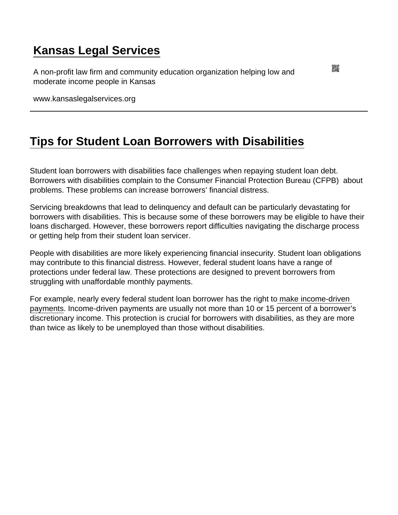## [Kansas Legal Services](https://www.kansaslegalservices.org/)

A non-profit law firm and community education organization helping low and moderate income people in Kansas

www.kansaslegalservices.org

## [Tips for Student Loan Borrowers with Disabilities](https://www.kansaslegalservices.org/node/2146/tips-student-loan-borrowers-disabilities)

Student loan borrowers with disabilities face challenges when repaying student loan debt. Borrowers with disabilities complain to the Consumer Financial Protection Bureau (CFPB) about problems. These problems can increase borrowers' financial distress.

Servicing breakdowns that lead to delinquency and default can be particularly devastating for borrowers with disabilities. This is because some of these borrowers may be eligible to have their loans discharged. However, these borrowers report difficulties navigating the discharge process or getting help from their student loan servicer.

People with disabilities are more likely experiencing financial insecurity. Student loan obligations may contribute to this financial distress. However, federal student loans have a range of protections under federal law. These protections are designed to prevent borrowers from struggling with unaffordable monthly payments.

For example, nearly every federal student loan borrower has the right to [make income-driven](https://www.consumerfinance.gov/ask-cfpb/how-can-i-enroll-in-income-driven-repayment-plan-en-1565/)  [payments](https://www.consumerfinance.gov/ask-cfpb/how-can-i-enroll-in-income-driven-repayment-plan-en-1565/). Income-driven payments are usually not more than 10 or 15 percent of a borrower's discretionary income. This protection is crucial for borrowers with disabilities, as they are more than twice as likely to be unemployed than those without disabilities.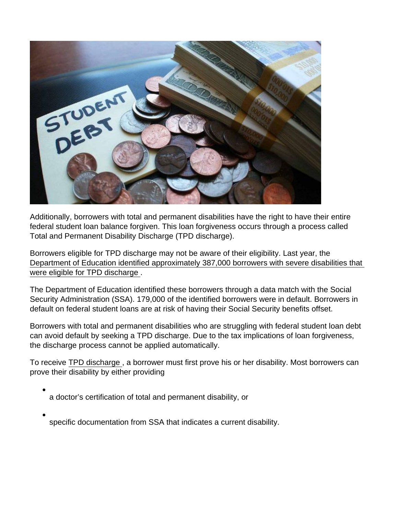Additionally, borrowers with total and permanent disabilities have the right to have their entire federal student loan balance forgiven. This loan forgiveness occurs through a process called Total and Permanent Disability Discharge (TPD discharge).

Borrowers eligible for TPD discharge may not be aware of their eligibility. Last year, the [Department of Education identified approximately 387,000 borrowers with severe disabilities that](https://www.ed.gov/news/press-releases/us-department-education-acts-protect-social-security-benefits-borrowers-disabilities)  [were eligible for TPD discharge](https://www.ed.gov/news/press-releases/us-department-education-acts-protect-social-security-benefits-borrowers-disabilities) .

The Department of Education identified these borrowers through a data match with the Social Security Administration (SSA). 179,000 of the identified borrowers were in default. Borrowers in default on federal student loans are at risk of having their Social Security benefits offset.

Borrowers with total and permanent disabilities who are struggling with federal student loan debt can avoid default by seeking a TPD discharge. Due to the tax implications of loan forgiveness, the discharge process cannot be applied automatically.

To receive [TPD discharge](https://disabilitydischarge.com/) , a borrower must first prove his or her disability. Most borrowers can prove their disability by either providing

- a doctor's certification of total and permanent disability, or
- specific documentation from SSA that indicates a current disability.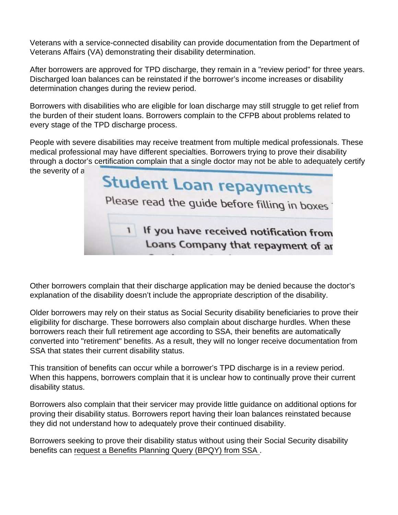Veterans with a service-connected disability can provide documentation from the Department of Veterans Affairs (VA) demonstrating their disability determination.

After borrowers are approved for TPD discharge, they remain in a "review period" for three years. Discharged loan balances can be reinstated if the borrower's income increases or disability determination changes during the review period.

Borrowers with disabilities who are eligible for loan discharge may still struggle to get relief from the burden of their student loans. Borrowers complain to the CFPB about problems related to every stage of the TPD discharge process.

People with severe disabilities may receive treatment from multiple medical professionals. These medical professional may have different specialties. Borrowers trying to prove their disability through a doctor's certification complain that a single doctor may not be able to adequately certify the severity of a borrower's disability status.

Other borrowers complain that their discharge application may be denied because the doctor's explanation of the disability doesn't include the appropriate description of the disability.

Older borrowers may rely on their status as Social Security disability beneficiaries to prove their eligibility for discharge. These borrowers also complain about discharge hurdles. When these borrowers reach their full retirement age according to SSA, their benefits are automatically converted into "retirement" benefits. As a result, they will no longer receive documentation from SSA that states their current disability status.

This transition of benefits can occur while a borrower's TPD discharge is in a review period. When this happens, borrowers complain that it is unclear how to continually prove their current disability status.

Borrowers also complain that their servicer may provide little guidance on additional options for proving their disability status. Borrowers report having their loan balances reinstated because they did not understand how to adequately prove their continued disability.

Borrowers seeking to prove their disability status without using their Social Security disability benefits can [request a Benefits Planning Query \(BPQY\) from SSA .](https://www.ssa.gov/redbook/eng/resources-supports.htm)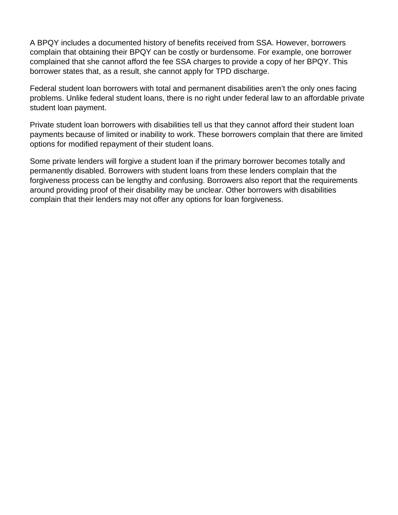A BPQY includes a documented history of benefits received from SSA. However, borrowers complain that obtaining their BPQY can be costly or burdensome. For example, one borrower complained that she cannot afford the fee SSA charges to provide a copy of her BPQY. This borrower states that, as a result, she cannot apply for TPD discharge.

Federal student loan borrowers with total and permanent disabilities aren't the only ones facing problems. Unlike federal student loans, there is no right under federal law to an affordable private student loan payment.

Private student loan borrowers with disabilities tell us that they cannot afford their student loan payments because of limited or inability to work. These borrowers complain that there are limited options for modified repayment of their student loans.

Some private lenders will forgive a student loan if the primary borrower becomes totally and permanently disabled. Borrowers with student loans from these lenders complain that the forgiveness process can be lengthy and confusing. Borrowers also report that the requirements around providing proof of their disability may be unclear. Other borrowers with disabilities complain that their lenders may not offer any options for loan forgiveness.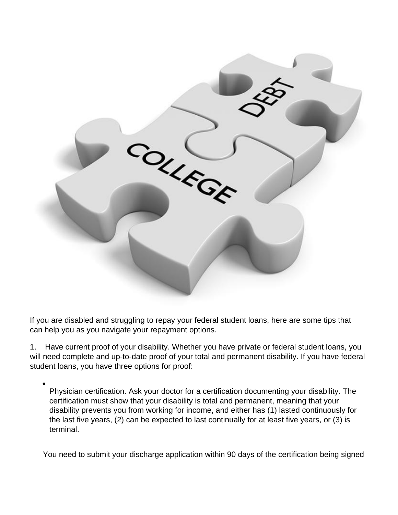

If you are disabled and struggling to repay your federal student loans, here are some tips that can help you as you navigate your repayment options.

1. Have current proof of your disability. Whether you have private or federal student loans, you will need complete and up-to-date proof of your total and permanent disability. If you have federal student loans, you have three options for proof:

Physician certification. Ask your doctor for a certification documenting your disability. The certification must show that your disability is total and permanent, meaning that your disability prevents you from working for income, and either has (1) lasted continuously for the last five years, (2) can be expected to last continually for at least five years, or (3) is terminal.

You need to submit your discharge application within 90 days of the certification being signed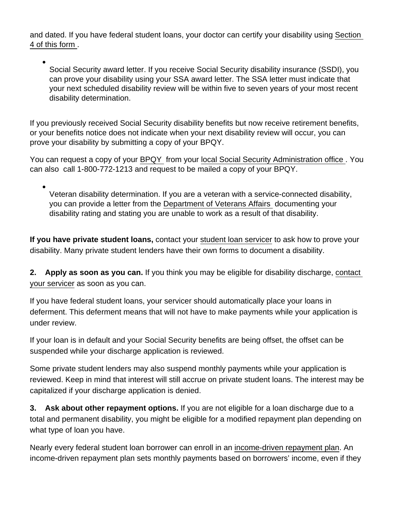and dated. If you have federal student loans, your doctor can certify your disability using [Section](https://www.kansaslegalservices.org/sites/kansaslegalservices.org/files/TPD_Application.pdf)  [4 of this form .](https://www.kansaslegalservices.org/sites/kansaslegalservices.org/files/TPD_Application.pdf)

Social Security award letter. If you receive Social Security disability insurance (SSDI), you can prove your disability using your SSA award letter. The SSA letter must indicate that your next scheduled disability review will be within five to seven years of your most recent disability determination.

If you previously received Social Security disability benefits but now receive retirement benefits, or your benefits notice does not indicate when your next disability review will occur, you can prove your disability by submitting a copy of your BPQY.

You can request a copy of your [BPQY](https://www.ssa.gov/disabilityresearch/documents/BPQY_Handbook_Version 5.2_7.19.2012.pdf) from your [local Social Security Administration office .](https://secure.ssa.gov/ICON/main.jsp) You can also call 1-800-772-1213 and request to be mailed a copy of your BPQY.

Veteran disability determination. If you are a veteran with a service-connected disability, you can provide a letter from the [Department of Veterans Affairs](https://www.vets.gov/disability-benefits/) documenting your disability rating and stating you are unable to work as a result of that disability.

If you have private student loans, contact your [student loan servicer](https://www.consumerfinance.gov/ask-cfpb/what-is-student-loan-servicer-en-583/) to ask how to prove your disability. Many private student lenders have their own forms to document a disability.

2. Apply as soon as you can. If you think you may be eligible for disability discharge, [contact](https://www.consumerfinance.gov/ask-cfpb/what-is-student-loan-servicer-en-583/)  [your servicer](https://www.consumerfinance.gov/ask-cfpb/what-is-student-loan-servicer-en-583/) as soon as you can.

If you have federal student loans, your servicer should automatically place your loans in deferment. This deferment means that will not have to make payments while your application is under review.

If your loan is in default and your Social Security benefits are being offset, the offset can be suspended while your discharge application is reviewed.

Some private student lenders may also suspend monthly payments while your application is reviewed. Keep in mind that interest will still accrue on private student loans. The interest may be capitalized if your discharge application is denied.

3. Ask about other repayment options. If you are not eligible for a loan discharge due to a total and permanent disability, you might be eligible for a modified repayment plan depending on what type of loan you have.

Nearly every federal student loan borrower can enroll in an [income-driven repayment plan](https://www.consumerfinance.gov/ask-cfpb/how-can-i-enroll-in-income-driven-repayment-plan-en-1565/). An income-driven repayment plan sets monthly payments based on borrowers' income, even if they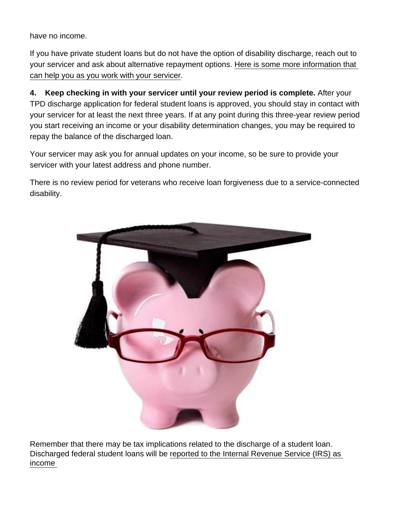have no income.

If you have private student loans but do not have the option of disability discharge, reach out to your servicer and ask about alternative repayment options. [Here is some more information that](https://www.consumerfinance.gov/paying-for-college/repay-student-debt/#non-federal:yes:no:no:no)  [can help you as you work with your servicer](https://www.consumerfinance.gov/paying-for-college/repay-student-debt/#non-federal:yes:no:no:no).

4. Keep checking in with your servicer until your review period is complete. After your TPD discharge application for federal student loans is approved, you should stay in contact with your servicer for at least the next three years. If at any point during this three-year review period you start receiving an income or your disability determination changes, you may be required to repay the balance of the discharged loan.

Your servicer may ask you for annual updates on your income, so be sure to provide your servicer with your latest address and phone number.

There is no review period for veterans who receive loan forgiveness due to a service-connected disability.

Remember that there may be tax implications related to the discharge of a student loan. Discharged federal student loans will be [reported to the Internal Revenue Service \(IRS\) as](https://www.disabilitydischarge.com/faqs)  [income](https://www.disabilitydischarge.com/faqs)